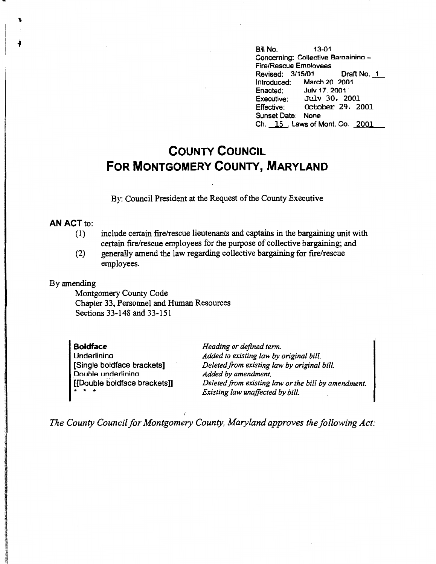Bill No. 13-01 Concerning: Collective Baraainino - Fire/Rescue Emolovees Revised: 3/15/01 Draft No. 1 Introduced: March 20, 2001<br>Enacted: July 17, 2001 Enacted: July 17, 2001<br>Executive: July 30, 2 Executive: July 30, 2001<br>Effective: October 29, 20 October 29, 2001 Sunset Date: None Ch. 15, Laws of Mont. Co. 2001

## **COUNTY COUNCIL FOR MONTGOMERY COUNTY, MARYLAND**

By: Council President at the Request of the County Executive

## **AN ACT** to:

- (1) include certain fire/rescue lieutenants and captains in the bargaining unit with certain fire/rescue employees for the purpose of collective bargaining; and
- (2) generally amend the law regarding collective bargaining for fire/rescue employees.

## By amending

Montgomery County Code Chapter 33, Personnel and Human Resources Sections 33-148 and 33-151

**Boldface**  Underlinina [Single boldface brackets] Double underlining [[Double boldface brackets]]  $\frac{1}{2}$  + +

*Heading or defined term. Added to existing law by original bill. Deleted from existing law by original bill. Added by amendment. Deleted from existing law or the bill by amendment. Existing law unaffected by bill.* 

*The County Council for Montgomery County, Maryland approves the following Act:*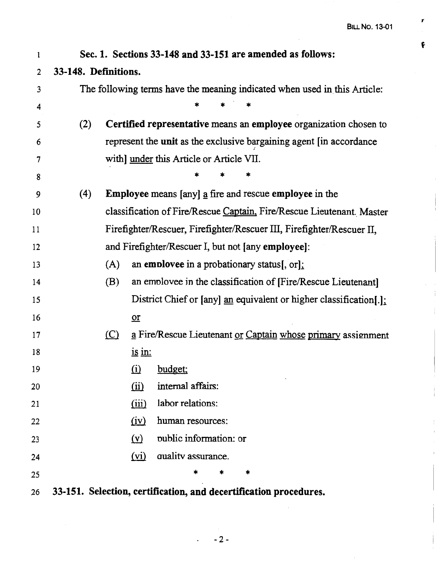,.

 $\pmb{\mathfrak{e}}$ 

 $\overline{1}$ 

 $\bar{1}$ 

 $\hat{\boldsymbol{\beta}}$ 

| 1              | Sec. 1. Sections 33-148 and 33-151 are amended as follows:                |                                                                       |                   |                                                                     |  |
|----------------|---------------------------------------------------------------------------|-----------------------------------------------------------------------|-------------------|---------------------------------------------------------------------|--|
| $\overline{2}$ | 33-148. Definitions.                                                      |                                                                       |                   |                                                                     |  |
| 3              | The following terms have the meaning indicated when used in this Article: |                                                                       |                   |                                                                     |  |
| 4              |                                                                           |                                                                       |                   |                                                                     |  |
| 5              | (2)                                                                       |                                                                       |                   | Certified representative means an employee organization chosen to   |  |
| 6              |                                                                           |                                                                       |                   | represent the unit as the exclusive bargaining agent [in accordance |  |
| 7              |                                                                           | with] under this Article or Article VII.                              |                   |                                                                     |  |
| 8              |                                                                           |                                                                       |                   |                                                                     |  |
| 9              | (4)                                                                       | <b>Employee</b> means [any] a fire and rescue <b>employee</b> in the  |                   |                                                                     |  |
| 10             |                                                                           | classification of Fire/Rescue Captain, Fire/Rescue Lieutenant. Master |                   |                                                                     |  |
| 11             |                                                                           | Firefighter/Rescuer, Firefighter/Rescuer III, Firefighter/Rescuer II, |                   |                                                                     |  |
| 12             |                                                                           | and Firefighter/Rescuer I, but not [any employee]:                    |                   |                                                                     |  |
| 13             |                                                                           | (A)                                                                   |                   | an employee in a probationary status[, $\text{or}$ ]:               |  |
| 14             |                                                                           | (B)                                                                   |                   | an employee in the classification of [Fire/Rescue Lieutenant]       |  |
| 15             |                                                                           |                                                                       |                   | District Chief or [any] an equivalent or higher classification[.];  |  |
| 16             |                                                                           |                                                                       | $or$              |                                                                     |  |
| 17             |                                                                           | (C)                                                                   |                   | a Fire/Rescue Lieutenant or Captain whose primary assignment        |  |
| 18             |                                                                           |                                                                       | $i$ s in:         |                                                                     |  |
| 19             |                                                                           |                                                                       |                   | (i) budget;                                                         |  |
| 20             |                                                                           |                                                                       | (ii)              | internal affairs:                                                   |  |
| 21             |                                                                           |                                                                       | (iii)             | labor relations:                                                    |  |
| 22             |                                                                           |                                                                       | (iv)              | human resources:                                                    |  |
| 23             |                                                                           |                                                                       | $(\underline{v})$ | public information: or                                              |  |
| 24             |                                                                           |                                                                       | (vi)              | quality assurance.                                                  |  |
| 25             |                                                                           |                                                                       |                   | *                                                                   |  |
| 26             |                                                                           |                                                                       |                   | 33-151. Selection, certification, and decertification procedures.   |  |

 $\ddot{\phantom{0}}$